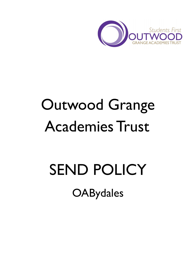

# Outwood Grange Academies Trust

# SEND POLICY **OABydales**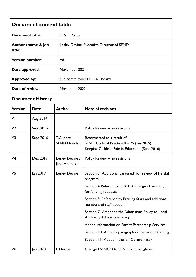| Document control table        |             |                                     |                                                                                                                            |  |  |
|-------------------------------|-------------|-------------------------------------|----------------------------------------------------------------------------------------------------------------------------|--|--|
| <b>Document title:</b>        |             | <b>SEND Policy</b>                  |                                                                                                                            |  |  |
| Author (name & job<br>title): |             |                                     | Lesley Devine, Executive Director of SEND                                                                                  |  |  |
| <b>Version number:</b>        |             | V <sub>8</sub>                      |                                                                                                                            |  |  |
| Date approved:                |             |                                     | November 2021                                                                                                              |  |  |
| <b>Approved by:</b>           |             |                                     | Sub committee of OGAT Board                                                                                                |  |  |
| Date of review:               |             |                                     | November 2022                                                                                                              |  |  |
| <b>Document History</b>       |             |                                     |                                                                                                                            |  |  |
| <b>Version</b>                | <b>Date</b> | <b>Author</b>                       | <b>Note of revisions</b>                                                                                                   |  |  |
| VI                            | Aug 2014    |                                     |                                                                                                                            |  |  |
| V <sub>2</sub>                | Sept 2015   |                                     | Policy Review - no revisions                                                                                               |  |  |
| V <sub>3</sub>                | Sept 2016   | T. Allport,<br><b>SEND Director</b> | Reformatted as a result of:<br>SEND Code of Practice $0 - 25$ (Jan 2015)<br>Keeping Children Safe in Education (Sept 2016) |  |  |
| V <sub>4</sub>                | Dec 2017    | Lesley Devine /<br>Jane Holmes      | Policy Review - no revisions                                                                                               |  |  |
| V <sub>5</sub>                | Jan 2019    | <b>Lesley Devine</b>                | Section 3: Additional paragraph for review of life skill<br>progress                                                       |  |  |
|                               |             |                                     | Section 4 Referral for EHCP: A change of wording<br>for funding requests                                                   |  |  |
|                               |             |                                     | Section 5: Reference to Praising Stars and additional<br>members of staff added                                            |  |  |
|                               |             |                                     | Section 7: Amended the Admissions Policy to Local<br><b>Authority Admissions Policy;</b>                                   |  |  |
|                               |             |                                     | Added information on Parent Partnership Services                                                                           |  |  |
|                               |             |                                     | Section 10: Added a paragraph on behaviour training                                                                        |  |  |
|                               |             |                                     | Section 11: Added Inclusion Co-ordinator                                                                                   |  |  |
| V <sub>6</sub>                | Jan 2020    | L Devine                            | Changed SENCO to SENDCo throughout                                                                                         |  |  |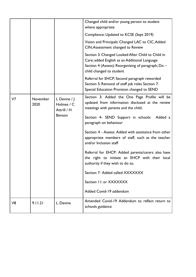|                |                  |                                                   | Changed child and/or young person to student<br>where appropriate                                                                                                                     |
|----------------|------------------|---------------------------------------------------|---------------------------------------------------------------------------------------------------------------------------------------------------------------------------------------|
|                |                  |                                                   | Compliance: Updated to KCSE (Sept 2019)                                                                                                                                               |
|                |                  |                                                   | Vision and Principals: Changed LAC to CIC, Added<br>CIN; Assessment changed to Review                                                                                                 |
|                |                  |                                                   | Section 3: Changed Looked After Child to Child in<br>Care; added English as an Additional Language<br>Section 4 (Assess): Reorganizing of paragraph; Do -<br>child changed to student |
|                |                  |                                                   | Referral for EHCP: Second paragraph reworded<br>Section 5: Removal of staff job roles Section 7:<br>Special Education Provision changed to SEND                                       |
| V <sub>7</sub> | November<br>2020 | L Devine $/$ $\vert$<br>Holmes / C<br>Attrill / H | Section 3: Added the One Page Profile will be<br>updated from information disclosed at the review<br>meetings with parents and the child.                                             |
|                |                  | <b>Benson</b>                                     | Section 4- SEND Support in schools:<br>Added a<br>paragraph on behaviour                                                                                                              |
|                |                  |                                                   | Section 4 - Assess: Added with assistance from other<br>appropriate members of staff, such as the teacher<br>and/or Inclusion staff                                                   |
|                |                  |                                                   | Referral for EHCP: Added parents/carers also have<br>the right to initiate an EHCP with their local<br>authority if they wish to do so.                                               |
|                |                  |                                                   | Section 7: Added called XXXXXXX                                                                                                                                                       |
|                |                  |                                                   | Section 11: or XXXXXXX                                                                                                                                                                |
|                |                  |                                                   | Added Covid-19 addendum                                                                                                                                                               |
| V <sub>8</sub> | 9.11.21          | L. Devine                                         | Amended Covid-19 Addendum to reflect return to<br>schools guidance                                                                                                                    |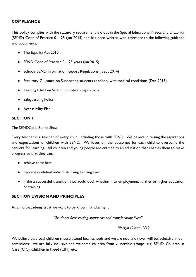# **COMPLIANCE**

This policy complies with the statutory requirement laid out in the Special Educational Needs and Disability (SEND) Code of Practice  $0 - 25$  (Jan 2015) and has been written with reference to the following guidance and documents:

- The Equality Act 2010
- SEND Code of Practice  $0 25$  years (Jan 2015)
- Schools SEND Information Report Regulations ( Sept 2014)
- Statutory Guidance on Supporting students at school with medical conditions (Dec 2015)
- Keeping Children Safe in Education (Sept 2020)
- Safeguarding Policy
- Accessibility Plan

## **SECTION 1**

The SENDCo is Benita Shaw

Every teacher is a teacher of every child, including those with SEND. We believe in raising the aspirations and expectations of children with SEND. We focus on the outcomes for each child to overcome the barriers for learning. All children and young people are entitled to an education that enables them to make progress so that they can:

- achieve their best:
- become confident individuals living fulfilling lives;
- make a successful transition into adulthood, whether into employment, further or higher education or training.

# **SECTION 2 VISION AND PRINCIPLES:**

As a multi-academy trust we want to be known for placing…

"Students first: raising standards and transforming lives"

Martyn Oliver, CEO

We believe that local children should attend local schools and we are not, and never will be, selective in our admissions: we are fully inclusive and welcome children from vulnerable groups, e.g. SEND, Children in Care (CIC), Children in Need (CIN), etc.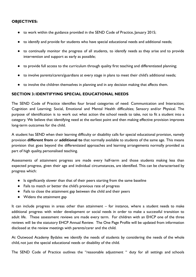## **OBJECTIVES:**

- to work within the guidance provided in the SEND Code of Practice, January 2015;
- to identify and provide for students who have special educational needs and additional needs;
- to continually monitor the progress of all students, to identify needs as they arise and to provide intervention and support as early as possible;
- to provide full access to the curriculum through quality first teaching and differentiated planning;
- to involve parents/carers/guardians at every stage in plans to meet their child's additional needs;
- to involve the children themselves in planning and in any decision making that affects them.

## **SECTION 3: IDENTIFYING SPECIAL EDUCATIONAL NEEDS**

The SEND Code of Practice identifies four broad categories of need: Communication and Interaction; Cognition and Learning; Social, Emotional and Mental Health difficulties; Sensory and/or Physical. The purpose of identification is to work out what action the school needs to take, not to fit a student into a category. We believe that identifying need at the earliest point and then making effective provision improves long-term outcomes for the child.

A student has SEND when their learning difficulty or disability calls for special educational provision, namely provision **different from** or **additional to** that normally available to students of the same age. This means provision that goes beyond the differentiated approaches and learning arrangements normally provided as part of high quality, personalised teaching.

Assessments of attainment progress are made every half-term and those students making less than expected progress, given their age and individual circumstances, are identified. This can be characterised by progress which:

- Is significantly slower than that of their peers starting from the same baseline
- Fails to match or better the child's previous rate of progress
- Fails to close the attainment gap between the child and their peers
- Widens the attainment gap

It can include progress in areas other than attainment – for instance, where a student needs to make additional progress with wider development or social needs in order to make a successful transition to adult life. These assessment reviews are made every term. For children with an EHCP one of the three reviews will be the statutory EHCP Annual Review. The One Page Profile will be updated from information disclosed at the review meetings with parents/carer and the child.

At Outwood Academy Bydales we identify the needs of students by considering the needs of the whole child, not just the special educational needs or disability of the child.

The SEND Code of Practice outlines the "reasonable adjustment " duty for all settings and schools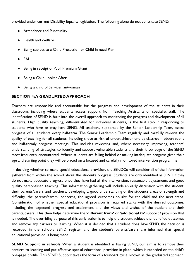provided under current Disability Equality legislation. The following alone do not constitute SEND.

- Attendance and Punctuality
- **Health and Welfare**
- Being subject to a Child Protection or Child in need Plan
- **EAL**
- Being in receipt of Pupil Premium Grant
- Being a Child Looked After
- Being a child of Serviceman/woman

# **SECTION 4:A GRADUATED APPROACH**

Teachers are responsible and accountable for the progress and development of the students in their classroom, including where students access support from Teaching Assistants or specialist staff. The identification of SEND is built into the overall approach to monitoring the progress and development of all students. High quality teaching, differentiated for individual students, is the first step in responding to students who have or may have SEND. All teachers, supported by the Senior Leadership Team, assess progress of all students every half-term. The Senior Leadership Team regularly and carefully reviews the quality of teaching for all students, including those at risk of underachievement, by classroom observations and half-termly progress meetings. This includes reviewing and, where necessary, improving, teachers' understanding of strategies to identify and support vulnerable students and their knowledge of the SEND most frequently encountered. Where students are falling behind or making inadequate progress given their age and starting point they will be placed on a focused and carefully monitored intervention programme.

In deciding whether to make special educational provision, the SENDCo will consider all of the information gathered from within the school about the student's progress. Students are only identified as SEND if they do not make adequate progress once they have had all the intervention, reasonable adjustments and good quality personalised teaching. This information gathering will include an early discussion with the student, their parents/carers and teachers, developing a good understanding of the student's areas of strength and difficulty, the parents/carers' concerns, the agreed outcomes sought for the child and the next steps. Consideration of whether special educational provision is required starts with the desired outcomes, including the expected progress and attainment and the views and wishes of the student and their parents/carers. This then helps determine the '**different from'** or '**additional to'** support / provision that is needed. The overriding purpose of this early action is to help the student achieve the identified outcomes and remove any barriers to learning. When it is decided that a student does have SEND, the decision is recorded in the schools SEND register and the student's parents/carers are informed that special educational provision is being made.

**SEND Support in schools** When a student is identified as having SEND, our aim is to remove their barriers to learning and put effective special educational provision in place, which is recorded on the child's one-page profile. This SEND Support takes the form of a four-part cycle, known as the graduated approach,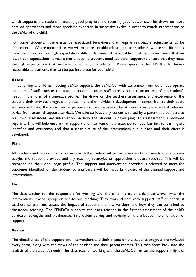which supports the student in making good progress and securing good outcomes. This draws on more detailed approaches and more specialist expertise in successive cycles in order to match interventions to the SEND of the child.

For some students, there may be associated behaviours that require reasonable adjustments to be implemented. Where appropriate, we will make reasonable adjustments for students, whose specific needs mean that they find our high expectations difficult to meet. A reasonable adjustment never means that we lower our expectations, it means that that some students need additional support to ensure that they meet the high expectations that we have for all of our students. Please speak to the SENDCo to discuss reasonable adjustments that can be put into place for your child.

## **Assess**

In identifying a child as needing SEND support, the SENDCo, with assistance from other appropriate members of staff, such as the teacher and/or Inclusion staff, carries out a clear analysis of the student's needs in the form of a one-page profile. This draws on the teacher's assessment and experience of the student, their previous progress and attainment, the individual's development in comparison to their peers and national data, the views and experience of parents/carers, the student's own views and, if relevant, advice from external support services. We take seriously any concerns raised by a parent and compare to our own assessment and information on how the student is developing. This assessment is reviewed regularly. This will help ensure that support and intervention are matched to need, barriers to learning are identified and overcome, and that a clear picture of the interventions put in place and their effect is developed.

## **Plan**

All teachers and support staff who work with the student will be made aware of their needs, the outcomes sought, the support provided and any teaching strategies or approaches that are required. This will be recorded on their one- page profile. The support and intervention provided is selected to meet the outcomes identified for the student. parents/carers will be made fully aware of the planned support and interventions.

## **Do**

The class teacher remains responsible for working with the child in class on a daily basis, even when the interventions involve group or one-to-one teaching. They work closely with support staff or specialist teachers to plan and assess the impact of support and interventions and how they can be linked to classroom teaching. The SENDCo supports the class teacher in the further assessment of the child's particular strengths and weaknesses, in problem solving and advising on the effective implementation of support.

## **Review**

The effectiveness of the support and interventions and their impact on the student's progress are reviewed every term, along with the views of the student and their parents/carers. This then feeds back into the analysis of the student's needs. The class teacher, working with the SENDCo, revises the support in light of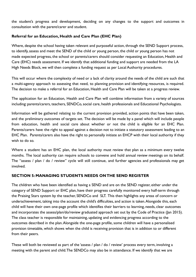the student's progress and development, deciding on any changes to the support and outcomes in consultation with the parent/carer and student.

# **Referral for an Education, Health and Care Plan (EHC Plan)**

Where, despite the school having taken relevant and purposeful action, through the SEND Support process, to identify, assess and meet the SEND of the child or young person, the child or young person has not made expected progress, the school or parents/carers should consider requesting an Education, Health and Care (EHC) needs assessment. If we identify that additional funding and support are needed from the LA High Needs Block, we will then complete a funding request as per Local Authority procedures.

This will occur where the complexity of need or a lack of clarity around the needs of the child are such that a multi-agency approach to assessing that need, to planning provision and identifying resources, is required. The decision to make a referral for an Education, Health and Care Plan will be taken at a progress review.

The application for an Education, Health and Care Plan will combine information from a variety of sources including: parents/carers, teachers, SENDCo, social care, health professionals and Educational Psychologists.

Information will be gathered relating to the current provision provided, action points that have been taken, and the preliminary outcomes of targets set. The decision will be made by a panel which will include people from education, health and social care about whether or not the child is eligible for an EHC Plan. Parents/carers have the right to appeal against a decision not to initiate a statutory assessment leading to an EHC Plan. Parents/carers also have the right to personally initiate an EHCP with their local authority if they wish to do so.

Where a student has an EHC plan, the local authority must review that plan as a minimum every twelve months. The local authority can require schools to convene and hold annual review meetings on its behalf. The "assess / plan / do / review" cycle will still continue, and further agencies and professionals may get involved.

# **SECTION 5: MANAGING STUDENTS NEEDS ON THE SEND REGISTER**

The children who have been identified as having a SEND and are on the SEND register, either under the category of SEND Support or EHC plan, have their progress carefully monitored every half-term through the Praising Stars system by the teacher, SENDCo and SLT. This then highlights any areas of concern or underachievement, taking into the account the child's difficulties, and action is taken.Alongside this, each child will have their own one-page profile which identifies their barriers to learning, needs, clear outcomes and incorporates the assess/plan/do/review graduated approach set out by the Code of Practice (Jan 2015). The class teacher is responsible for maintaining, updating and evidencing progress according to the outcomes described in the plan.Alongside the one-page profile, some children will have a personalised provision timetable, which shows when the child is receiving provision that is in addition to or different from their peers.

These will both be reviewed as part of the 'assess / plan / do / review' process every term, involving a meeting with the parent and child.The SENDCo may also be in attendance. If we identify that we are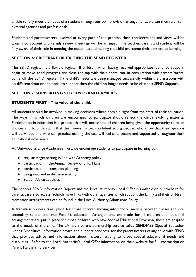unable to fully meet the needs of a student through our own provision arrangements, we can then refer to external agencies and professionals.

Students and parents/carers involved at every part of the process, their considerations and views will be taken into account and termly review meetings will be arranged. The teacher, parent and student will be fully aware of their role in meeting the outcomes and helping the child overcome their barriers to learning.

# **SECTION 6: CRITERIA FOR EXITING THE SEND REGISTER**

The SEND register is a flexible register. If children, when having received appropriate identified support, begin to make good progress and close the gap with their peers, can, in consultation with parents/carers, come off the SEND register. If the child's needs are being managed successfully within the classroom with no different from or additional to support then the child no longer needs to be classed a SEND Support.

# **SECTION 7: SUPPORTING STUDENTS AND FAMILIES**

## **STUDENTS FIRST – The voice of the child.**

All students should be involved in making decisions where possible right from the start of their education. The ways in which children are encouraged to participate should reflect the child's evolving maturity. Participation in education is a process that will necessitate all children being given the opportunity to make choices and to understand that their views matter. Confident young people, who know that their opinions will be valued and who can practice making choices, will feel safe, secure and supported throughout their educational experience.

At Outwood Grange Academies Trust, we encourage students to participate in learning by:

- regular target setting in line with Academy policy
- participation in the Annual Review of EHC Plans
- participation in transition planning
- being involved in decision making
- Student Voice activities

The schools SEND Information Report and the Local Authority Local Offer is available on our website for parents/carers to access. Schools have links with other agencies which support the family and their children. Admission arrangements can be found in the Local Authority Admissions Policy.

A transition process takes place for those children moving into school, moving between classes and into secondary school and into Post 16 education. Arrangements are made for all children but additional arrangements are put in place for those children who have Special Educational Provision, these are adapted to the needs of the child. The LA has a parent partnership service called SENDIASS (Special Education Needs Disabilities, information advice and support services) for the parents/carers of any child with SEND that provides advice and information about matters relating to those special educational needs and disabilities. Refer to the Local Authority's Local Offer information on their website for full information on Parent Partnership Services.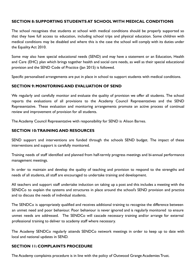# **SECTION 8: SUPPORTING STUDENTS AT SCHOOL WITH MEDICAL CONDITIONS**

The school recognises that students at school with medical conditions should be properly supported so that they have full access to education, including school trips and physical education. Some children with medical conditions may be disabled and where this is the case the school will comply with its duties under the Equality Act 2010.

Some may also have special educational needs (SEND) and may have a statement or an Education, Health and Care (EHC) plan which brings together health and social care needs, as well as their special educational provision and the SEND Code of Practice (Jan 2015) is followed.

Specific personalised arrangements are put in place in school to support students with medical conditions.

# **SECTION 9: MONITORING AND EVALUATION OF SEND**

We regularly and carefully monitor and evaluate the quality of provision we offer all students. The school reports the evaluations of all provisions to the Academy Council Representatives and the SEND Representative. These evaluation and monitoring arrangements promote an active process of continual review and improvement of provision for all students.

The Academy Council Representative with responsibility for SEND is Alison Barnes.

## **SECTION 10:TRAINING AND RESOURCES**

SEND support and interventions are funded through the schools SEND budget. The impact of these interventions and support is carefully monitored.

Training needs of staff identified and planned from half-termly progress meetings and bi-annual performance management meetings.

In order to maintain and develop the quality of teaching and provision to respond to the strengths and needs of all students, all staff are encouraged to undertake training and development.

All teachers and support staff undertake induction on taking up a post and this includes a meeting with the SENDCo to explain the systems and structures in place around the school's SEND provision and practice and to discuss the needs of individual students.

The SENDCo is appropriately qualified and receives additional training to recognise the difference between an unmet need and poor behaviour. Poor behaviour is never ignored and is regularly monitored to ensure unmet needs are addressed. The SENDCo will cascade necessary training and/or arrange for external professional training to deliver to academy staff where necessary.

The Academy SENDCo regularly attends SENDCo network meetings in order to keep up to date with local and national updates in SEND.

# **SECTION 11: COMPLAINTS PROCEDURE**

The Academy complaints procedure is in line with the policy of Outwood Grange Academies Trust.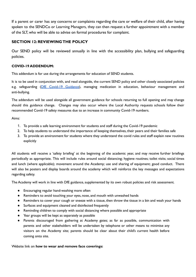If a parent or carer has any concerns or complaints regarding the care or welfare of their child, after having spoken to the SENDCo or Learning Managers, they can then request a further appointment with a member of the SLT, who will be able to advise on formal procedures for complaint.

# **SECTION 12: REVIEWING THE POLICY**

Our SEND policy will be reviewed annually in line with the accessibility plan, bullying and safeguarding policies.

## **COVID-19 ADDENDUM:**

This addendum is for use during the arrangements for education of SEND students.

It is to be used in conjunction with, and read alongside, the current SEND policy and other closely associated policies e.g. safeguarding (DfE Covid-19 [Guidance\)](https://www.gov.uk/government/publications/covid-19-safeguarding-in-schools-colleges-and-other-providers), managing medication in education, behaviour management and anti-bullying.

The addendum will be used alongside all government guidance for schools returning to full opening and may change should this guidance change. Changes may also occur where the Local Authority requests schools follow their recommended Covid-19 safety measures due to an increase in community Covid-19 numbers.

Aims:

- 1. To provide a safe learning environment for students and staff during the Covid-19 pandemic
- 2. To help students to understand the importance of keeping themselves, their peers and their families safe
- 3. To provide an environment for students where they understand the covid rules and staff explain new routines explicitly

All students will receive a 'safety briefing' at the beginning of the academic year, and may receive further briefings periodically as appropriate. This will include rules around social distancing; hygiene routines; toilet visits; social times and lunch (where applicable); movement around the Academy; use and sharing of equipment; good conduct. There will also be posters and display boards around the academy which will reinforce the key messages and expectations regarding safety.

The Academy will work in line with DfE guidance, supplemented by its own robust policies and risk assessment.

- Encouraging regular hand-washing more often
- Reminders to avoid touching your eyes, nose, and mouth with unwashed hands
- Reminders to cover your cough or sneeze with a tissue, then throw the tissue in a bin and wash your hands
- Surfaces and equipment cleaned and disinfected frequently
- Reminding children to comply with social distancing where possible and appropriate
- Year groups will be kept as separately as possible
- Parents discouraged from gathering at Academy gates; as far as possible, communication with parents and other stakeholders will be undertaken by telephone or other means to minimise any visitors on the Academy site; parents should be clear about their child's current health before coming onto site.

## Website link on **how to wear and remove face coverings:**